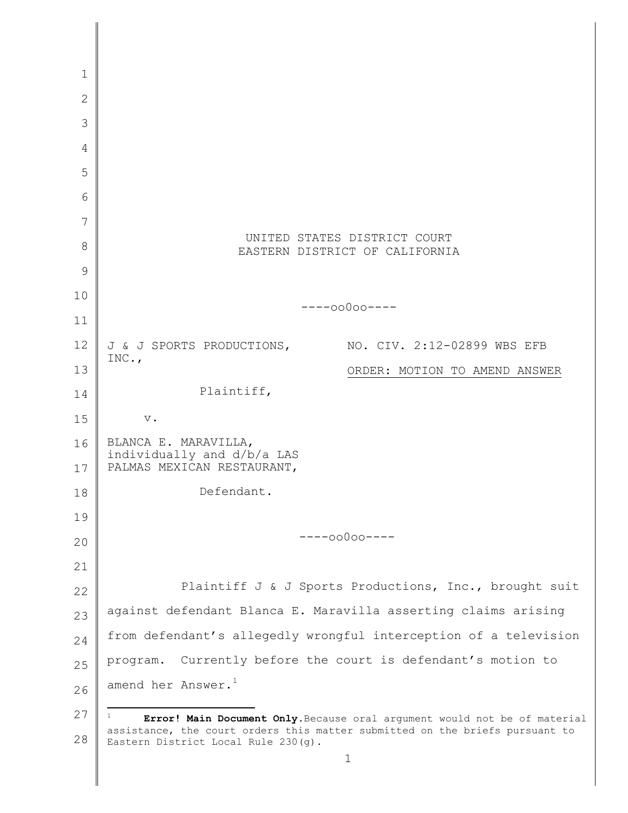| 1            |                                                                                                                     |
|--------------|---------------------------------------------------------------------------------------------------------------------|
| $\mathbf{2}$ |                                                                                                                     |
| 3            |                                                                                                                     |
| 4            |                                                                                                                     |
| 5            |                                                                                                                     |
| 6            |                                                                                                                     |
| 7            |                                                                                                                     |
| 8            | UNITED STATES DISTRICT COURT<br>EASTERN DISTRICT OF CALIFORNIA                                                      |
| 9            |                                                                                                                     |
| 10           |                                                                                                                     |
| 11           | $---00000---$                                                                                                       |
| 12           | J & J SPORTS PRODUCTIONS,<br>NO. CIV. 2:12-02899 WBS EFB                                                            |
| 13           | INC.,<br>ORDER: MOTION TO AMEND ANSWER                                                                              |
| 14           | Plaintiff,                                                                                                          |
| 15           | $\mathbf v$ .                                                                                                       |
| 16           | BLANCA E. MARAVILLA,                                                                                                |
| 17           | individually and d/b/a LAS<br>PALMAS MEXICAN RESTAURANT,                                                            |
| 18           | Defendant.                                                                                                          |
| 19           |                                                                                                                     |
| 20           | $---00000---$                                                                                                       |
| 21           |                                                                                                                     |
| 22           | Plaintiff J & J Sports Productions, Inc., brought suit                                                              |
| 23           | against defendant Blanca E. Maravilla asserting claims arising                                                      |
| 24           | from defendant's allegedly wrongful interception of a television                                                    |
| 25           | Currently before the court is defendant's motion to<br>program.                                                     |
| 26           | amend her Answer. <sup>1</sup>                                                                                      |
| 27           | $\mathbf{1}$<br>Error! Main Document Only. Because oral argument would not be of material                           |
| 28           | assistance, the court orders this matter submitted on the briefs pursuant to<br>Eastern District Local Rule 230(g). |
|              | 1                                                                                                                   |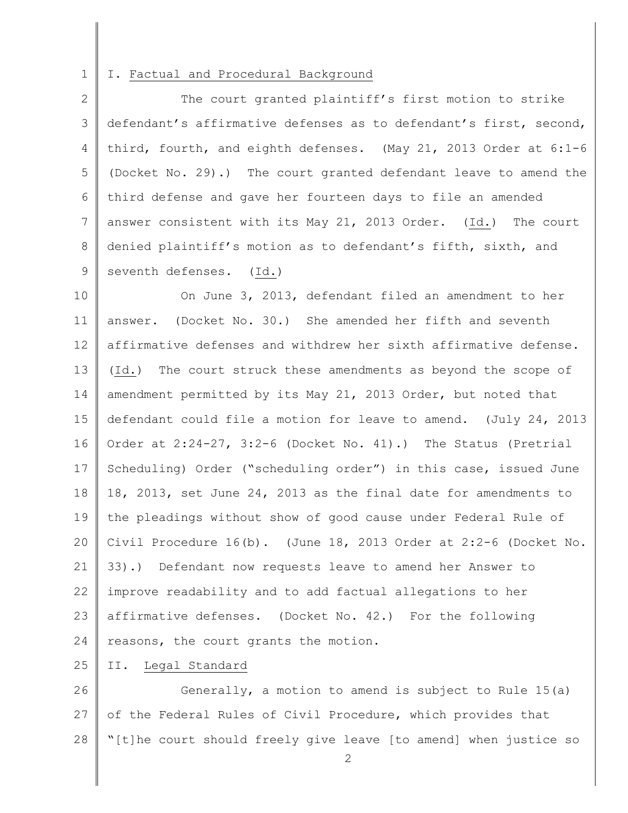## 1 I. Factual and Procedural Background

2 3 4 5 6 7 8 9 The court granted plaintiff's first motion to strike defendant's affirmative defenses as to defendant's first, second, third, fourth, and eighth defenses. (May 21, 2013 Order at 6:1-6 (Docket No. 29).) The court granted defendant leave to amend the third defense and gave her fourteen days to file an amended answer consistent with its May 21, 2013 Order. (Id.) The court denied plaintiff's motion as to defendant's fifth, sixth, and seventh defenses. (Id.)

10 11 12 13 14 15 16 17 18 19 20 21 22 23 24 On June 3, 2013, defendant filed an amendment to her answer. (Docket No. 30.) She amended her fifth and seventh affirmative defenses and withdrew her sixth affirmative defense. (Id.) The court struck these amendments as beyond the scope of amendment permitted by its May 21, 2013 Order, but noted that defendant could file a motion for leave to amend. (July 24, 2013 Order at 2:24-27, 3:2-6 (Docket No. 41).) The Status (Pretrial Scheduling) Order ("scheduling order") in this case, issued June 18, 2013, set June 24, 2013 as the final date for amendments to the pleadings without show of good cause under Federal Rule of Civil Procedure 16(b). (June 18, 2013 Order at 2:2-6 (Docket No. 33).) Defendant now requests leave to amend her Answer to improve readability and to add factual allegations to her affirmative defenses. (Docket No. 42.) For the following reasons, the court grants the motion.

25 II. Legal Standard

26 27 28 Generally, a motion to amend is subject to Rule 15(a) of the Federal Rules of Civil Procedure, which provides that "[t]he court should freely give leave [to amend] when justice so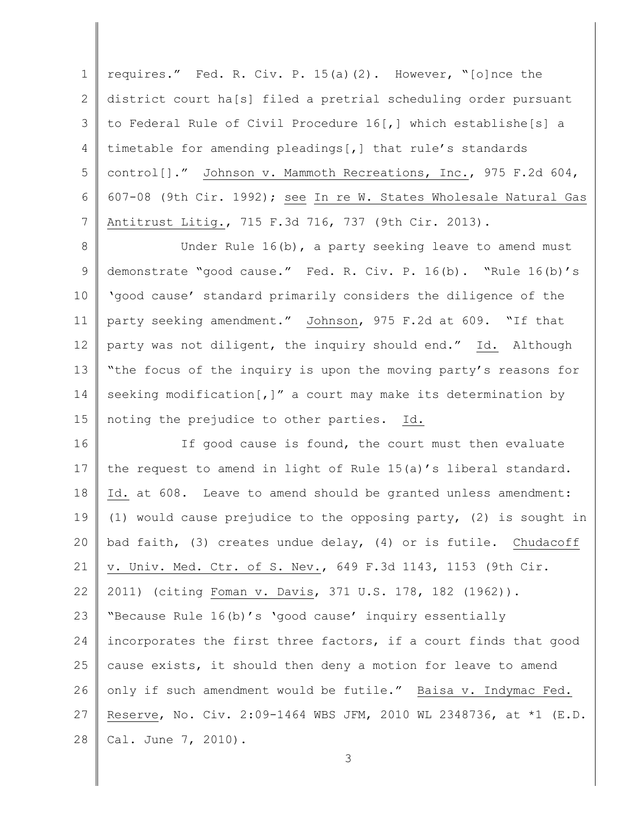1 2 3 4 5 6 7 requires." Fed. R. Civ. P. 15(a)(2). However, "[o]nce the district court ha[s] filed a pretrial scheduling order pursuant to Federal Rule of Civil Procedure 16[,] which establishe[s] a timetable for amending pleadings[,] that rule's standards control[]." Johnson v. Mammoth Recreations, Inc., 975 F.2d 604, 607-08 (9th Cir. 1992); see In re W. States Wholesale Natural Gas Antitrust Litig., 715 F.3d 716, 737 (9th Cir. 2013).

8 9 10 11 12 13 14 15 Under Rule 16(b), a party seeking leave to amend must demonstrate "good cause." Fed. R. Civ. P. 16(b). "Rule 16(b)'s 'good cause' standard primarily considers the diligence of the party seeking amendment." Johnson, 975 F.2d at 609. "If that party was not diligent, the inquiry should end." Id. Although "the focus of the inquiry is upon the moving party's reasons for seeking modification[,]" a court may make its determination by noting the prejudice to other parties. Id.

16 17 18 19 20 21 22 23 24 25 26 27 28 If good cause is found, the court must then evaluate the request to amend in light of Rule 15(a)'s liberal standard. Id. at 608. Leave to amend should be granted unless amendment: (1) would cause prejudice to the opposing party, (2) is sought in bad faith, (3) creates undue delay, (4) or is futile. Chudacoff v. Univ. Med. Ctr. of S. Nev., 649 F.3d 1143, 1153 (9th Cir. 2011) (citing Foman v. Davis, 371 U.S. 178, 182 (1962)). "Because Rule 16(b)'s 'good cause' inquiry essentially incorporates the first three factors, if a court finds that good cause exists, it should then deny a motion for leave to amend only if such amendment would be futile." Baisa v. Indymac Fed. Reserve, No. Civ. 2:09-1464 WBS JFM, 2010 WL 2348736, at \*1 (E.D. Cal. June 7, 2010).

3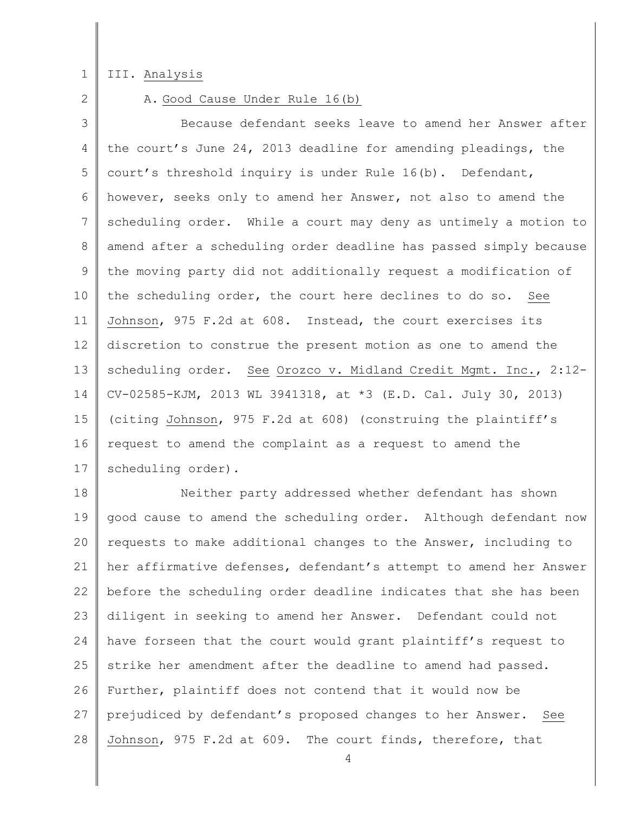1

## III. Analysis

2

## A. Good Cause Under Rule 16(b)

3 4 5 6 7 8 9 10 11 12 13 14 15 16 17 Because defendant seeks leave to amend her Answer after the court's June 24, 2013 deadline for amending pleadings, the court's threshold inquiry is under Rule 16(b). Defendant, however, seeks only to amend her Answer, not also to amend the scheduling order. While a court may deny as untimely a motion to amend after a scheduling order deadline has passed simply because the moving party did not additionally request a modification of the scheduling order, the court here declines to do so. See Johnson, 975 F.2d at 608. Instead, the court exercises its discretion to construe the present motion as one to amend the scheduling order. See Orozco v. Midland Credit Mgmt. Inc., 2:12-CV-02585-KJM, 2013 WL 3941318, at \*3 (E.D. Cal. July 30, 2013) (citing Johnson, 975 F.2d at 608) (construing the plaintiff's request to amend the complaint as a request to amend the scheduling order).

18 19 20 21 22 23 24 25 26 27 28 Neither party addressed whether defendant has shown good cause to amend the scheduling order. Although defendant now requests to make additional changes to the Answer, including to her affirmative defenses, defendant's attempt to amend her Answer before the scheduling order deadline indicates that she has been diligent in seeking to amend her Answer. Defendant could not have forseen that the court would grant plaintiff's request to strike her amendment after the deadline to amend had passed. Further, plaintiff does not contend that it would now be prejudiced by defendant's proposed changes to her Answer. See Johnson, 975 F.2d at 609. The court finds, therefore, that

4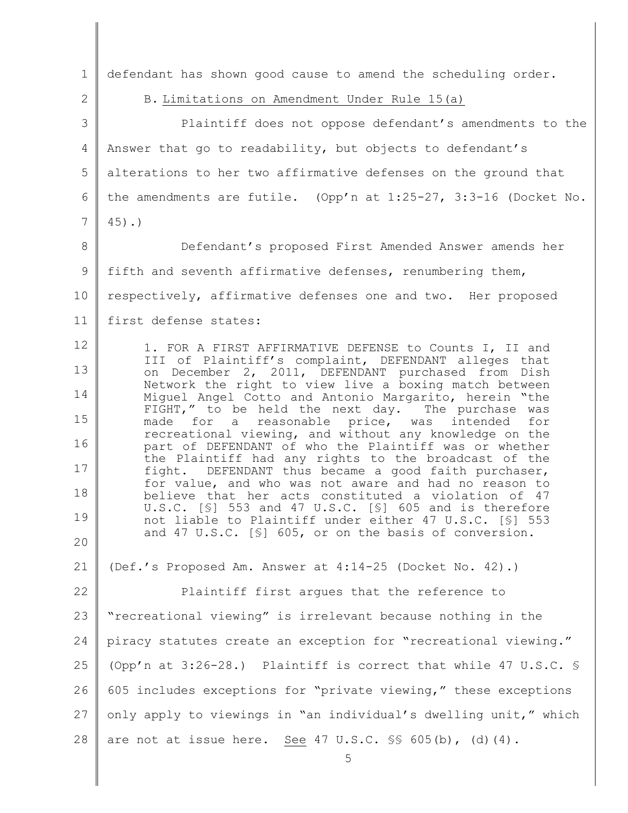| $\mathbf{1}$    | defendant has shown good cause to amend the scheduling order.                                                                                                               |
|-----------------|-----------------------------------------------------------------------------------------------------------------------------------------------------------------------------|
| $\mathbf{2}$    | B. Limitations on Amendment Under Rule 15(a)                                                                                                                                |
| 3               | Plaintiff does not oppose defendant's amendments to the                                                                                                                     |
| $\overline{4}$  | Answer that go to readability, but objects to defendant's                                                                                                                   |
| 5               | alterations to her two affirmative defenses on the ground that                                                                                                              |
| 6               | the amendments are futile. (Opp'n at $1:25-27$ , $3:3-16$ (Docket No.                                                                                                       |
| $7\phantom{.0}$ | $45)$ .)                                                                                                                                                                    |
| 8               | Defendant's proposed First Amended Answer amends her                                                                                                                        |
| 9               | fifth and seventh affirmative defenses, renumbering them,                                                                                                                   |
| 10              | respectively, affirmative defenses one and two. Her proposed                                                                                                                |
| 11              | first defense states:                                                                                                                                                       |
| 12              | 1. FOR A FIRST AFFIRMATIVE DEFENSE to Counts I, II and                                                                                                                      |
| 13              | III of Plaintiff's complaint, DEFENDANT alleges that<br>on December 2, 2011, DEFENDANT purchased from Dish                                                                  |
| 14              | Network the right to view live a boxing match between<br>Miquel Angel Cotto and Antonio Margarito, herein "the                                                              |
| 15              | FIGHT," to be held the next day. The purchase was<br>made for a reasonable price, was intended for                                                                          |
| 16              | recreational viewing, and without any knowledge on the<br>part of DEFENDANT of who the Plaintiff was or whether                                                             |
| 17              | the Plaintiff had any rights to the broadcast of the<br>fight. DEFENDANT thus became a good faith purchaser,                                                                |
| 18              | for value, and who was not aware and had no reason to<br>believe that her acts constituted a violation of 47<br>U.S.C. $[\S]$ 553 and 47 U.S.C. $[\S]$ 605 and is therefore |
| 19              | not liable to Plaintiff under either 47 U.S.C. [§] 553                                                                                                                      |
| 20              | and 47 U.S.C. [§] 605, or on the basis of conversion.                                                                                                                       |
| 21              | (Def.'s Proposed Am. Answer at 4:14-25 (Docket No. 42).)                                                                                                                    |
| 22              | Plaintiff first argues that the reference to                                                                                                                                |
| 23              | "recreational viewing" is irrelevant because nothing in the                                                                                                                 |
| 24              | piracy statutes create an exception for "recreational viewing."                                                                                                             |
| 25              | (Opp'n at 3:26-28.) Plaintiff is correct that while 47 U.S.C. §                                                                                                             |
| 26              | 605 includes exceptions for "private viewing," these exceptions                                                                                                             |
| 27              | only apply to viewings in "an individual's dwelling unit," which                                                                                                            |
| 28              | are not at issue here. See 47 U.S.C. $\$ 605(b), (d)(4).<br>5                                                                                                               |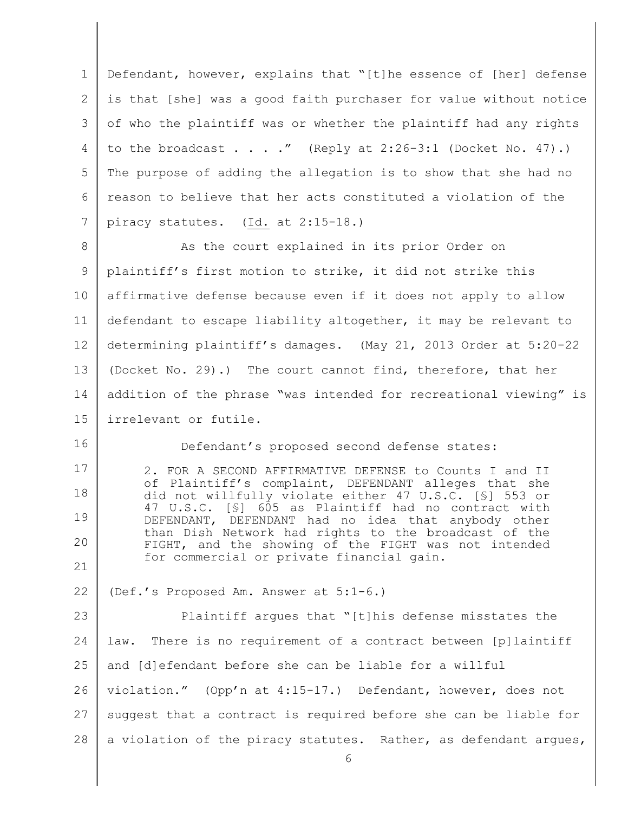1 2 3 4 5 6 7 8 9 10 11 12 13 14 15 16 17 18 19 20 21 22 23 24 25 26 27 28 6 Defendant, however, explains that "[t]he essence of [her] defense is that [she] was a good faith purchaser for value without notice of who the plaintiff was or whether the plaintiff had any rights to the broadcast  $\ldots$  ..." (Reply at 2:26-3:1 (Docket No. 47).) The purpose of adding the allegation is to show that she had no reason to believe that her acts constituted a violation of the piracy statutes. (Id. at 2:15-18.) As the court explained in its prior Order on plaintiff's first motion to strike, it did not strike this affirmative defense because even if it does not apply to allow defendant to escape liability altogether, it may be relevant to determining plaintiff's damages. (May 21, 2013 Order at 5:20-22 (Docket No. 29).) The court cannot find, therefore, that her addition of the phrase "was intended for recreational viewing" is irrelevant or futile. Defendant's proposed second defense states: 2. FOR A SECOND AFFIRMATIVE DEFENSE to Counts I and II of Plaintiff's complaint, DEFENDANT alleges that she did not willfully violate either 47 U.S.C. [§] 553 or 47 U.S.C. [§] 605 as Plaintiff had no contract with DEFENDANT, DEFENDANT had no idea that anybody other than Dish Network had rights to the broadcast of the FIGHT, and the showing of the FIGHT was not intended for commercial or private financial gain. (Def.'s Proposed Am. Answer at 5:1-6.) Plaintiff argues that "[t]his defense misstates the law. There is no requirement of a contract between [p]laintiff and [d]efendant before she can be liable for a willful violation." (Opp'n at 4:15-17.) Defendant, however, does not suggest that a contract is required before she can be liable for a violation of the piracy statutes. Rather, as defendant argues,